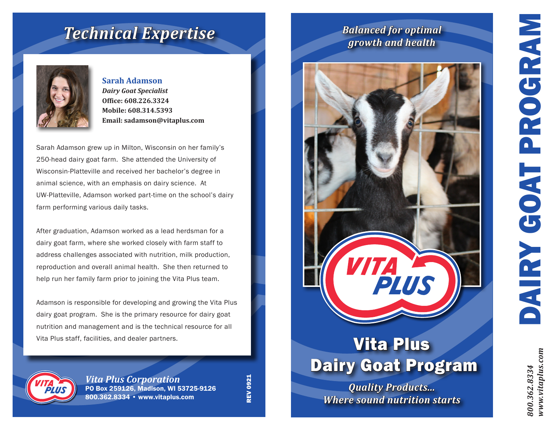*800.362.8334 www.vitaplus.com*

www.vitaplus.com 800.362.8334

## *Technical Expertise*



**Sarah Adamson** *Dairy Goat Specialist* **Office: 608.226.3324 Mobile: 608.314.5393 Email: sadamson@vitaplus.com**

Sarah Adamson grew up in Milton, Wisconsin on her family's 250-head dairy goat farm. She attended the University of Wisconsin-Platteville and received her bachelor's degree in animal science, with an emphasis on dairy science. At UW-Platteville, Adamson worked part-time on the school's dairy farm performing various daily tasks.

After graduation, Adamson worked as a lead herdsman for a dairy goat farm, where she worked closely with farm staff to address challenges associated with nutrition, milk production, reproduction and overall animal health. She then returned to help run her family farm prior to joining the Vita Plus team.

Adamson is responsible for developing and growing the Vita Plus dairy goat program. She is the primary resource for dairy goat nutrition and management and is the technical resource for all Vita Plus staff, facilities, and dealer partners.



*Vita Plus Corporation* PO Box 259126, Madison, WI 53725-9126 800.362.8334 • www.vitaplus.com

**REV 0921** REV 0921

## *Balanced for optimal growth and health*



# Vita Plus Dairy Goat Program

*Quality Products... Where sound nutrition starts*